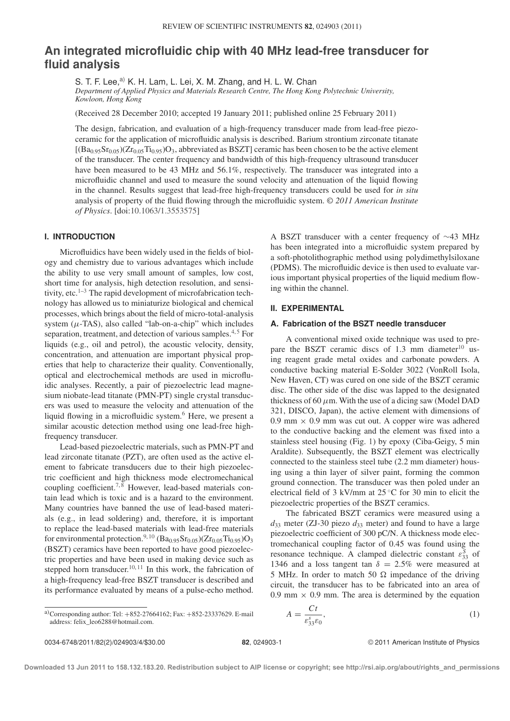# **An integrated microfluidic chip with 40 MHz lead-free transducer for fluid analysis**

S. T. F. Lee,<sup>a)</sup> K. H. Lam, L. Lei, X. M. Zhang, and H. L. W. Chan *Department of Applied Physics and Materials Research Centre, The Hong Kong Polytechnic University, Kowloon, Hong Kong*

(Received 28 December 2010; accepted 19 January 2011; published online 25 February 2011)

The design, fabrication, and evaluation of a high-frequency transducer made from lead-free piezoceramic for the application of microfluidic analysis is described. Barium strontium zirconate titanate  $[(Ba_{0.95}Sr_{0.05})(Zr_{0.05}Ti_{0.95})O_3]$ , abbreviated as BSZT] ceramic has been chosen to be the active element of the transducer. The center frequency and bandwidth of this high-frequency ultrasound transducer have been measured to be 43 MHz and 56.1%, respectively. The transducer was integrated into a microfluidic channel and used to measure the sound velocity and attenuation of the liquid flowing in the channel. Results suggest that lead-free high-frequency transducers could be used for *in situ* analysis of property of the fluid flowing through the microfluidic system. *© 2011 American Institute of Physics*. [doi:10.1063/1.3553575]

#### **I. INTRODUCTION**

Microfluidics have been widely used in the fields of biology and chemistry due to various advantages which include the ability to use very small amount of samples, low cost, short time for analysis, high detection resolution, and sensitivity, etc. $1-3$  The rapid development of microfabrication technology has allowed us to miniaturize biological and chemical processes, which brings about the field of micro-total-analysis system  $(\mu$ -TAS), also called "lab-on-a-chip" which includes separation, treatment, and detection of various samples. $4.5$  For liquids (e.g., oil and petrol), the acoustic velocity, density, concentration, and attenuation are important physical properties that help to characterize their quality. Conventionally, optical and electrochemical methods are used in microfluidic analyses. Recently, a pair of piezoelectric lead magnesium niobate-lead titanate (PMN-PT) single crystal transducers was used to measure the velocity and attenuation of the liquid flowing in a microfluidic system.<sup>6</sup> Here, we present a similar acoustic detection method using one lead-free highfrequency transducer.

Lead-based piezoelectric materials, such as PMN-PT and lead zirconate titanate (PZT), are often used as the active element to fabricate transducers due to their high piezoelectric coefficient and high thickness mode electromechanical coupling coefficient.<sup>7,8</sup> However, lead-based materials contain lead which is toxic and is a hazard to the environment. Many countries have banned the use of lead-based materials (e.g., in lead soldering) and, therefore, it is important to replace the lead-based materials with lead-free materials for environmental protection.<sup>9, 10</sup> (Ba<sub>0.95</sub>Sr<sub>0.05</sub>)(Zr<sub>0.05</sub>Ti<sub>0.95</sub>)O<sub>3</sub> (BSZT) ceramics have been reported to have good piezoelectric properties and have been used in making device such as stepped horn transducer.<sup>10, 11</sup> In this work, the fabrication of a high-frequency lead-free BSZT transducer is described and its performance evaluated by means of a pulse-echo method.

A BSZT transducer with a center frequency of ∼43 MHz has been integrated into a microfluidic system prepared by a soft-photolithographic method using polydimethylsiloxane (PDMS). The microfluidic device is then used to evaluate various important physical properties of the liquid medium flowing within the channel.

### **II. EXPERIMENTAL**

#### **A. Fabrication of the BSZT needle transducer**

A conventional mixed oxide technique was used to prepare the BSZT ceramic discs of 1.3 mm diameter $10$  using reagent grade metal oxides and carbonate powders. A conductive backing material E-Solder 3022 (VonRoll Isola, New Haven, CT) was cured on one side of the BSZT ceramic disc. The other side of the disc was lapped to the designated thickness of 60  $\mu$ m. With the use of a dicing saw (Model DAD 321, DISCO, Japan), the active element with dimensions of 0.9 mm  $\times$  0.9 mm was cut out. A copper wire was adhered to the conductive backing and the element was fixed into a stainless steel housing (Fig. 1) by epoxy (Ciba-Geigy, 5 min Araldite). Subsequently, the BSZT element was electrically connected to the stainless steel tube (2.2 mm diameter) housing using a thin layer of silver paint, forming the common ground connection. The transducer was then poled under an electrical field of 3 kV/mm at 25 ◦C for 30 min to elicit the piezoelectric properties of the BSZT ceramics.

The fabricated BSZT ceramics were measured using a  $d_{33}$  meter (ZJ-30 piezo  $d_{33}$  meter) and found to have a large piezoelectric coefficient of 300 pC/N. A thickness mode electromechanical coupling factor of 0.45 was found using the resonance technique. A clamped dielectric constant  $\varepsilon_{33}^S$  of 1346 and a loss tangent tan  $\delta = 2.5\%$  were measured at 5 MHz. In order to match 50  $\Omega$  impedance of the driving circuit, the transducer has to be fabricated into an area of 0.9 mm  $\times$  0.9 mm. The area is determined by the equation

Corresponding author: ICI. 
$$
+632-2700+102
$$
, I aX.  $+632-23337022$ .

\naddress: felix\_leo6288 @ hotmail.com.

 $A = \frac{Ct}{\varepsilon_{33}^s \varepsilon_0}$ 

,  $(1)$ 

**Downloaded 13 Jun 2011 to 158.132.183.20. Redistribution subject to AIP license or copyright; see http://rsi.aip.org/about/rights\_and\_permissions**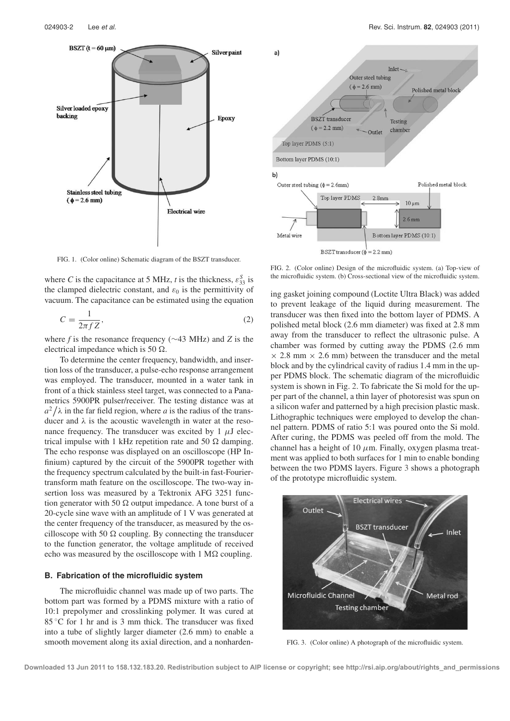

FIG. 1. (Color online) Schematic diagram of the BSZT transducer.

where *C* is the capacitance at 5 MHz, *t* is the thickness,  $\varepsilon_{33}^S$  is the clamped dielectric constant, and  $\varepsilon_0$  is the permittivity of vacuum. The capacitance can be estimated using the equation

$$
C = \frac{1}{2\pi f Z},\tag{2}
$$

where *f* is the resonance frequency (∼43 MHz) and *Z* is the electrical impedance which is 50  $\Omega$ .

To determine the center frequency, bandwidth, and insertion loss of the transducer, a pulse-echo response arrangement was employed. The transducer, mounted in a water tank in front of a thick stainless steel target, was connected to a Panametrics 5900PR pulser/receiver. The testing distance was at  $a^2/\lambda$  in the far field region, where *a* is the radius of the transducer and  $\lambda$  is the acoustic wavelength in water at the resonance frequency. The transducer was excited by 1  $\mu$ J electrical impulse with 1 kHz repetition rate and 50  $\Omega$  damping. The echo response was displayed on an oscilloscope (HP Infinium) captured by the circuit of the 5900PR together with the frequency spectrum calculated by the built-in fast-Fouriertransform math feature on the oscilloscope. The two-way insertion loss was measured by a Tektronix AFG 3251 function generator with 50  $\Omega$  output impedance. A tone burst of a 20-cycle sine wave with an amplitude of 1 V was generated at the center frequency of the transducer, as measured by the oscilloscope with 50  $\Omega$  coupling. By connecting the transducer to the function generator, the voltage amplitude of received echo was measured by the oscilloscope with  $1 M\Omega$  coupling.

#### **B. Fabrication of the microfluidic system**

The microfluidic channel was made up of two parts. The bottom part was formed by a PDMS mixture with a ratio of 10:1 prepolymer and crosslinking polymer. It was cured at 85 °C for 1 hr and is 3 mm thick. The transducer was fixed into a tube of slightly larger diameter (2.6 mm) to enable a smooth movement along its axial direction, and a nonharden-



FIG. 2. (Color online) Design of the microfluidic system. (a) Top-view of the microfluidic system. (b) Cross-sectional view of the microfluidic system.

ing gasket joining compound (Loctite Ultra Black) was added to prevent leakage of the liquid during measurement. The transducer was then fixed into the bottom layer of PDMS. A polished metal block (2.6 mm diameter) was fixed at 2.8 mm away from the transducer to reflect the ultrasonic pulse. A chamber was formed by cutting away the PDMS (2.6 mm  $\times$  2.8 mm  $\times$  2.6 mm) between the transducer and the metal block and by the cylindrical cavity of radius 1.4 mm in the upper PDMS block. The schematic diagram of the microfluidic system is shown in Fig. 2. To fabricate the Si mold for the upper part of the channel, a thin layer of photoresist was spun on a silicon wafer and patterned by a high precision plastic mask. Lithographic techniques were employed to develop the channel pattern. PDMS of ratio 5:1 was poured onto the Si mold. After curing, the PDMS was peeled off from the mold. The channel has a height of 10  $\mu$ m. Finally, oxygen plasma treatment was applied to both surfaces for 1 min to enable bonding between the two PDMS layers. Figure 3 shows a photograph of the prototype microfluidic system.



FIG. 3. (Color online) A photograph of the microfluidic system.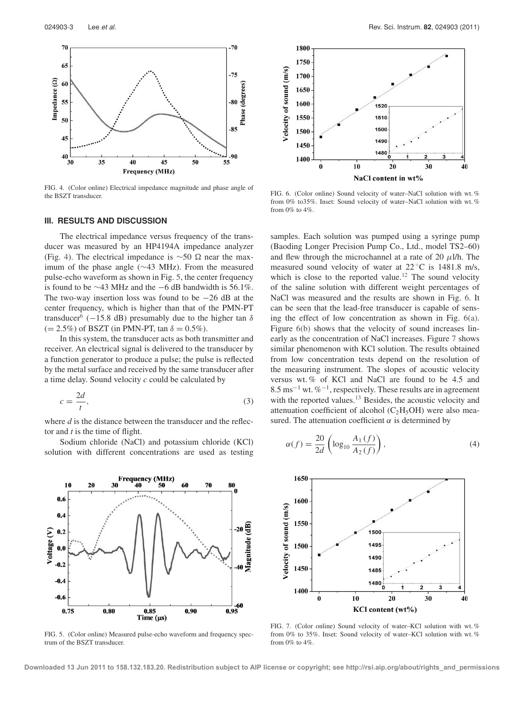

FIG. 4. (Color online) Electrical impedance magnitude and phase angle of the BSZT transducer.

# **III. RESULTS AND DISCUSSION**

The electrical impedance versus frequency of the transducer was measured by an HP4194A impedance analyzer (Fig. 4). The electrical impedance is  $\sim$ 50 Ω near the maximum of the phase angle (∼43 MHz). From the measured pulse-echo waveform as shown in Fig. 5, the center frequency is found to be ∼43 MHz and the −6 dB bandwidth is 56.1%. The two-way insertion loss was found to be  $-26$  dB at the center frequency, which is higher than that of the PMN-PT transducer<sup>6</sup> (−15.8 dB) presumably due to the higher tan  $\delta$  $(= 2.5\%)$  of BSZT (in PMN-PT, tan  $\delta = 0.5\%$ ).

In this system, the transducer acts as both transmitter and receiver. An electrical signal is delivered to the transducer by a function generator to produce a pulse; the pulse is reflected by the metal surface and received by the same transducer after a time delay. Sound velocity *c* could be calculated by

$$
c = \frac{2d}{t},\tag{3}
$$

where *d* is the distance between the transducer and the reflector and *t* is the time of flight.

Sodium chloride (NaCl) and potassium chloride (KCl) solution with different concentrations are used as testing



FIG. 5. (Color online) Measured pulse-echo waveform and frequency spectrum of the BSZT transducer.



FIG. 6. (Color online) Sound velocity of water–NaCl solution with wt. % from 0% to35%. Inset: Sound velocity of water–NaCl solution with wt. % from 0% to 4%.

samples. Each solution was pumped using a syringe pump (Baoding Longer Precision Pump Co., Ltd., model TS2–60) and flew through the microchannel at a rate of 20  $\mu$ l/h. The measured sound velocity of water at 22 ◦C is 1481.8 m/s, which is close to the reported value.<sup>12</sup> The sound velocity of the saline solution with different weight percentages of NaCl was measured and the results are shown in Fig. 6. It can be seen that the lead-free transducer is capable of sensing the effect of low concentration as shown in Fig. 6(a). Figure 6(b) shows that the velocity of sound increases linearly as the concentration of NaCl increases. Figure 7 shows similar phenomenon with KCl solution. The results obtained from low concentration tests depend on the resolution of the measuring instrument. The slopes of acoustic velocity versus wt. % of KCl and NaCl are found to be 4.5 and  $8.5 \text{ ms}^{-1}$  wt. %<sup>-1</sup>, respectively. These results are in agreement with the reported values.<sup>13</sup> Besides, the acoustic velocity and attenuation coefficient of alcohol  $(C_2H_5OH)$  were also measured. The attenuation coefficient  $\alpha$  is determined by

$$
\alpha(f) = \frac{20}{2d} \left( \log_{10} \frac{A_1(f)}{A_2(f)} \right),\tag{4}
$$



FIG. 7. (Color online) Sound velocity of water–KCl solution with wt. % from 0% to 35%. Inset: Sound velocity of water–KCl solution with wt. % from  $0\%$  to  $4\%$ .

**Downloaded 13 Jun 2011 to 158.132.183.20. Redistribution subject to AIP license or copyright; see http://rsi.aip.org/about/rights\_and\_permissions**